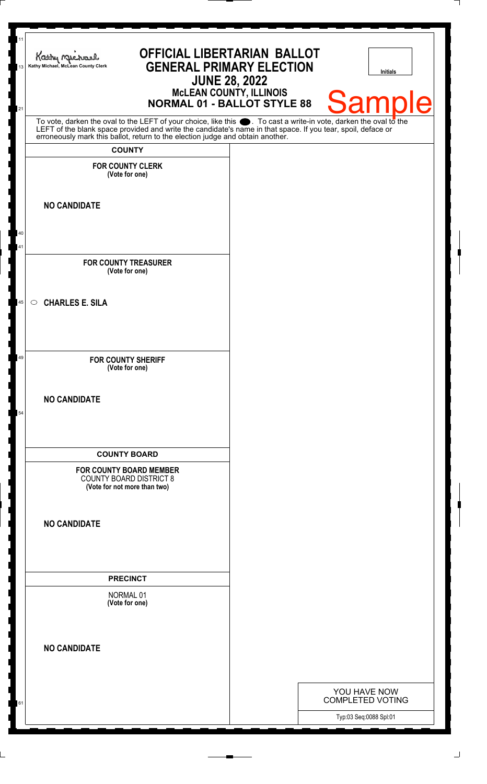| 11<br>13 | <b>OFFICIAL LIBERTARIAN BALLOT</b><br>Kathy Michael<br><b>GENERAL PRIMARY ELECTION</b><br>Kathy Michael, McLean County Clerk<br><b>JUNE 28, 2022</b><br><b>MCLEAN COUNTY, ILLINOIS</b><br><b>NORMAL 01 - BALLOT STYLE 88</b>                                                                                           | <b>Initials</b><br><b>Samp</b><br>le                              |
|----------|------------------------------------------------------------------------------------------------------------------------------------------------------------------------------------------------------------------------------------------------------------------------------------------------------------------------|-------------------------------------------------------------------|
| 21       | To vote, darken the oval to the LEFT of your choice, like this $\bullet$ . To cast a write-in vote, darken the oval to the LEFT of the blank space provided and write the candidate's name in that space. If you tear, spoil, deface<br>erroneously mark this ballot, return to the election judge and obtain another. |                                                                   |
|          | <b>COUNTY</b>                                                                                                                                                                                                                                                                                                          |                                                                   |
|          | <b>FOR COUNTY CLERK</b><br>(Vote for one)                                                                                                                                                                                                                                                                              |                                                                   |
|          | <b>NO CANDIDATE</b>                                                                                                                                                                                                                                                                                                    |                                                                   |
| 40<br>41 |                                                                                                                                                                                                                                                                                                                        |                                                                   |
|          | <b>FOR COUNTY TREASURER</b><br>(Vote for one)                                                                                                                                                                                                                                                                          |                                                                   |
| 45       | <b>CHARLES E. SILA</b><br>$\circ$                                                                                                                                                                                                                                                                                      |                                                                   |
| 49       | <b>FOR COUNTY SHERIFF</b><br>(Vote for one)                                                                                                                                                                                                                                                                            |                                                                   |
| 54       | <b>NO CANDIDATE</b>                                                                                                                                                                                                                                                                                                    |                                                                   |
|          | <b>COUNTY BOARD</b>                                                                                                                                                                                                                                                                                                    |                                                                   |
|          | <b>FOR COUNTY BOARD MEMBER</b><br><b>COUNTY BOARD DISTRICT 8</b><br>(Vote for not more than two)                                                                                                                                                                                                                       |                                                                   |
|          | <b>NO CANDIDATE</b>                                                                                                                                                                                                                                                                                                    |                                                                   |
|          | <b>PRECINCT</b>                                                                                                                                                                                                                                                                                                        |                                                                   |
|          | NORMAL 01<br>(Vote for one)                                                                                                                                                                                                                                                                                            |                                                                   |
|          | <b>NO CANDIDATE</b>                                                                                                                                                                                                                                                                                                    |                                                                   |
|          |                                                                                                                                                                                                                                                                                                                        |                                                                   |
| 61       |                                                                                                                                                                                                                                                                                                                        | YOU HAVE NOW<br><b>COMPLETED VOTING</b><br>Typ:03 Seq:0088 Spl:01 |
|          |                                                                                                                                                                                                                                                                                                                        |                                                                   |